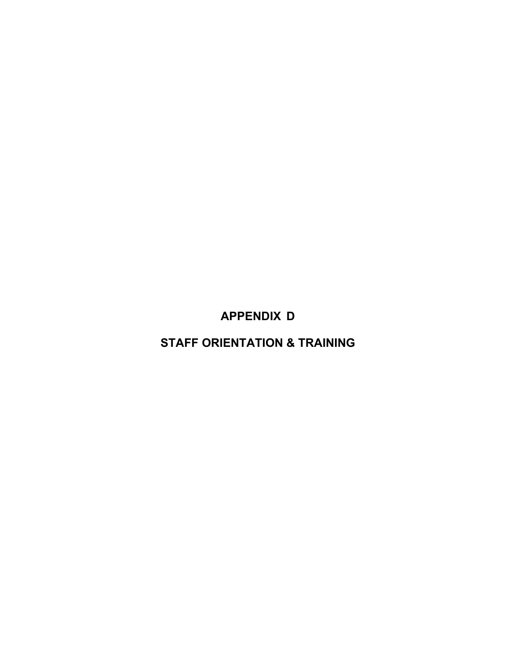**APPENDIX D**

**STAFF ORIENTATION & TRAINING**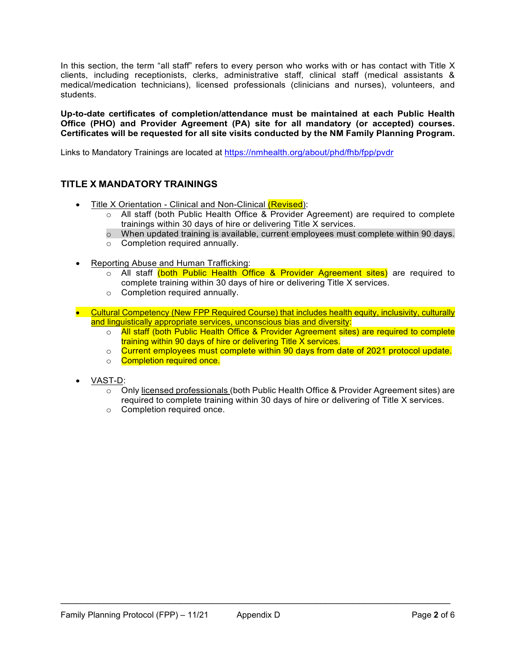In this section, the term "all staff" refers to every person who works with or has contact with Title X clients, including receptionists, clerks, administrative staff, clinical staff (medical assistants & medical/medication technicians), licensed professionals (clinicians and nurses), volunteers, and students.

**Up-to-date certificates of completion/attendance must be maintained at each Public Health Office (PHO) and Provider Agreement (PA) site for all mandatory (or accepted) courses. Certificates will be requested for all site visits conducted by the NM Family Planning Program.**

Links to Mandatory Trainings are located at<https://nmhealth.org/about/phd/fhb/fpp/pvdr>

# **TITLE X MANDATORY TRAININGS**

- Title X Orientation Clinical and Non-Clinical (Revised):
	- o All staff (both Public Health Office & Provider Agreement) are required to complete trainings within 30 days of hire or delivering Title X services.
	- $\circ$  When updated training is available, current employees must complete within 90 days.
	- o Completion required annually.
- Reporting Abuse and Human Trafficking:
	- o All staff (both Public Health Office & Provider Agreement sites) are required to complete training within 30 days of hire or delivering Title X services.
	- o Completion required annually.
- Cultural Competency (New FPP Required Course) that includes health equity, inclusivity, culturally and linguistically appropriate services, unconscious bias and diversity:

- o All staff (both Public Health Office & Provider Agreement sites) are required to complete training within 90 days of hire or delivering Title X services.
- o Current employees must complete within 90 days from date of 2021 protocol update.
- o **Completion required once.**
- VAST-D:
	- $\circ$  Only licensed professionals (both Public Health Office & Provider Agreement sites) are required to complete training within 30 days of hire or delivering of Title X services.
	- o Completion required once.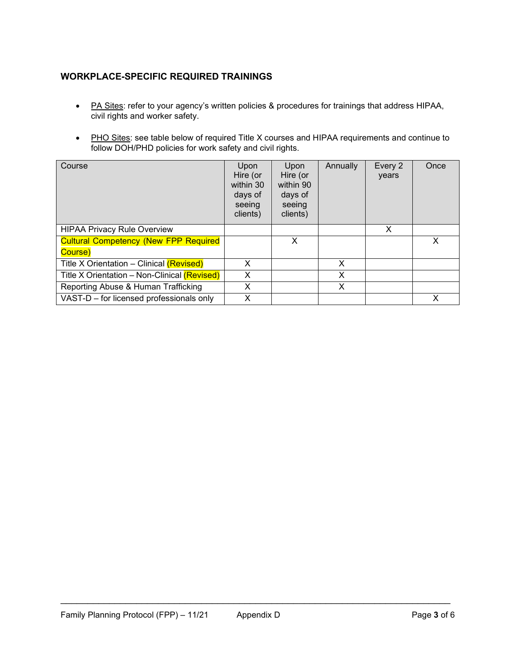# **WORKPLACE-SPECIFIC REQUIRED TRAININGS**

- PA Sites: refer to your agency's written policies & procedures for trainings that address HIPAA, civil rights and worker safety.
- PHO Sites: see table below of required Title X courses and HIPAA requirements and continue to follow DOH/PHD policies for work safety and civil rights.

| Course                                       | Upon<br>Hire (or<br>within 30<br>days of<br>seeing<br>clients) | Upon<br>Hire (or<br>within 90<br>days of<br>seeing<br>clients) | Annually | Every 2<br>years | Once |
|----------------------------------------------|----------------------------------------------------------------|----------------------------------------------------------------|----------|------------------|------|
| <b>HIPAA Privacy Rule Overview</b>           |                                                                |                                                                |          | X                |      |
| <b>Cultural Competency (New FPP Required</b> |                                                                | X                                                              |          |                  | X    |
| Course)                                      |                                                                |                                                                |          |                  |      |
| Title X Orientation - Clinical (Revised)     | X                                                              |                                                                | X        |                  |      |
| Title X Orientation - Non-Clinical (Revised) | X                                                              |                                                                | X        |                  |      |
| Reporting Abuse & Human Trafficking          | X                                                              |                                                                | X        |                  |      |
| VAST-D - for licensed professionals only     | X                                                              |                                                                |          |                  | х    |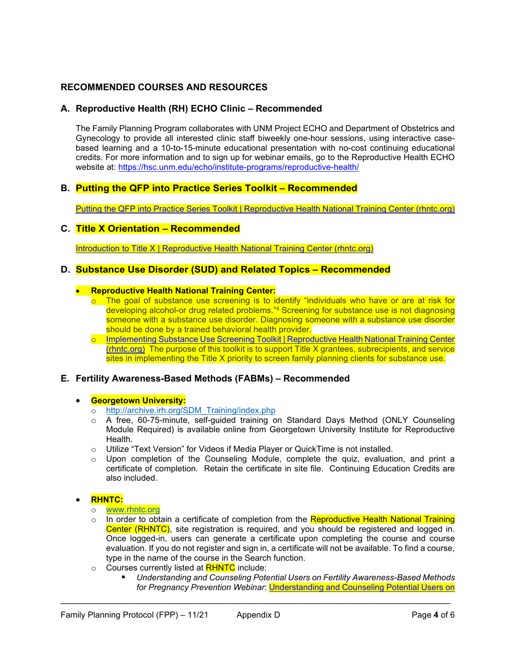# **RECOMMENDED COURSES AND RESOURCES**

### **A. Reproductive Health (RH) ECHO Clinic – Recommended**

The Family Planning Program collaborates with UNM Project ECHO and Department of Obstetrics and Gynecology to provide all interested clinic staff biweekly one-hour sessions, using interactive casebased learning and a 10-to-15-minute educational presentation with no-cost continuing educational credits. For more information and to sign up for webinar emails, go to the Reproductive Health ECHO website at: <https://hsc.unm.edu/echo/institute-programs/reproductive-health/>

## **B. Putting the QFP into Practice Series Toolkit – Recommended**

[Putting the QFP into Practice Series Toolkit | Reproductive Health National Training Center \(rhntc.org\)](https://rhntc.org/resources/putting-qfp-practice-series-toolkit)

#### **C. Title X Orientation – Recommended**

[Introduction to Title X | Reproductive Health National Training Center \(rhntc.org\)](https://rhntc.org/training-packages/introduction-title-x)

#### **D. Substance Use Disorder (SUD) and Related Topics – Recommended**

#### • **Reproductive Health National Training Center:**

- $\circ$  The goal of substance use screening is to identify "individuals who have or are at risk for developing alcohol-or drug related problems."<sup>4</sup> Screening for substance use is not diagnosing someone with a substance use disorder. Diagnosing someone with a substance use disorder should be done by a trained behavioral health provider.
- o [Implementing Substance Use Screening Toolkit | Reproductive Health National Training Center](https://rhntc.org/resources/implementing-substance-use-screening-toolkit)  [\(rhntc.org\)](https://rhntc.org/resources/implementing-substance-use-screening-toolkit) The purpose of this toolkit is to support Title X grantees, subrecipients, and service sites in implementing the Title X priority to screen family planning clients for substance use.

#### **E. Fertility Awareness-Based Methods (FABMs) – Recommended**

#### • **Georgetown University:**

- o [http://archive.irh.org/SDM\\_Training/index.php](http://archive.irh.org/SDM_Training/index.php)
- o A free, 60-75-minute, self-guided training on Standard Days Method (ONLY Counseling Module Required) is available online from Georgetown University Institute for Reproductive **Health**
- o Utilize "Text Version" for Videos if Media Player or QuickTime is not installed.
- o Upon completion of the Counseling Module, complete the quiz, evaluation, and print a certificate of completion. Retain the certificate in site file. Continuing Education Credits are also included.

#### • **RHNTC:**

#### o [www.rhntc.org](http://www.rhntc.org/)

 $\circ$  In order to obtain a certificate of completion from the Reproductive Health National Training Center (RHNTC), site registration is required, and you should be registered and logged in. Once logged-in, users can generate a certificate upon completing the course and course evaluation. If you do not register and sign in, a certificate will not be available. To find a course, type in the name of the course in the Search function.

- o Courses currently listed at **RHNTC** include:
	- *Understanding and Counseling Potential Users on Fertility Awareness-Based Methods for Pregnancy Prevention Webinar*: [Understanding and Counseling Potential Users on](https://rhntc.org/resources/understanding-and-counseling-potential-users-fertility-awareness-based-methods-pregnancy)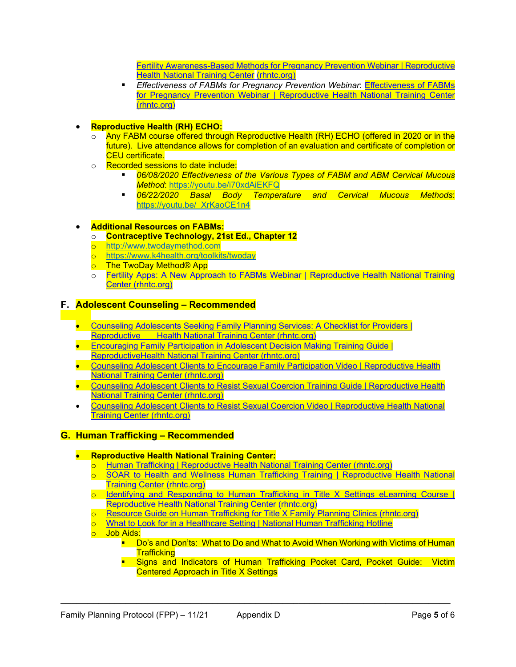[Fertility Awareness-Based Methods for Pregnancy Prevention Webinar | Reproductive](https://rhntc.org/resources/understanding-and-counseling-potential-users-fertility-awareness-based-methods-pregnancy)  [Health National Training Center](https://rhntc.org/resources/understanding-and-counseling-potential-users-fertility-awareness-based-methods-pregnancy) (rhntc.org)

- **Effectiveness of FABMs for Pregnancy Prevention Webinar: Effectiveness of FABMs** for Pregnancy Prevention Webinar | [Reproductive Health National Training Center](https://rhntc.org/resources/effectiveness-fabms-pregnancy-prevention-webinar)  [\(rhntc.org\)](https://rhntc.org/resources/effectiveness-fabms-pregnancy-prevention-webinar)
- **Reproductive Health (RH) ECHO:**
	- o Any FABM course offered through Reproductive Health (RH) ECHO (offered in 2020 or in the future). Live attendance allows for completion of an evaluation and certificate of completion or CEU certificate.
	- o **Recorded sessions to date include:**<br>O6/08/2020 Effectiveness o
		- *06/08/2020 Effectiveness of the Various Types of FABM and ABM Cervical Mucous Method*:<https://youtu.be/i70xdAiEKFQ>
		- *06/22/2020 Basal Body Temperature and Cervical Mucous Methods*: https://youtu.be/ XrKaoCE1n4

## • **Additional Resources on FABMs:**

- o **Contraceptive Technology, 21st Ed., Chapter 12**
- o [http://www.twodaymethod.com](http://www.twodaymethod.com/)
- o <https://www.k4health.org/toolkits/twoday>
- o The TwoDay Method® App
- o Fertility Apps: A New Approach to FABMs Webinar | Reproductive Health National Training [Center \(rhntc.org\)](https://rhntc.org/resources/fertility-apps-new-approach-fabms-webinar)

### **F. Adolescent Counseling – Recommended**

- [Counseling Adolescents Seeking Family Planning Services: A Checklist for Providers |](https://rhntc.org/resources/counseling-adolescents-seeking-family-planning-services-checklist-providers)  [Reproductive Health National Training Center \(rhntc.org\)](https://rhntc.org/resources/counseling-adolescents-seeking-family-planning-services-checklist-providers)
- [Encouraging Family Participation in Adolescent Decision Making Training Guide |](https://rhntc.org/resources/encouraging-family-participation-adolescent-decision-making-training-guide)  [ReproductiveHealth National Training Center \(rhntc.org\)](https://rhntc.org/resources/encouraging-family-participation-adolescent-decision-making-training-guide)
- Counseling Adolescent Clients to Encourage Family Participation Video | Reproductive Health [National Training Center \(rhntc.org\)](https://rhntc.org/resources/counseling-adolescent-clients-encourage-family-participation-video)
- [Counseling Adolescent Clients to Resist Sexual Coercion Training Guide | Reproductive Health](https://rhntc.org/resources/counseling-adolescent-clients-resist-sexual-coercion-training-guide)  [National Training Center \(rhntc.org\)](https://rhntc.org/resources/counseling-adolescent-clients-resist-sexual-coercion-training-guide)
- [Counseling Adolescent Clients to Resist Sexual Coercion Video | Reproductive Health National](https://rhntc.org/resources/counseling-adolescent-clients-resist-sexual-coercion-video)  [Training Center \(rhntc.org\)](https://rhntc.org/resources/counseling-adolescent-clients-resist-sexual-coercion-video)

## **G. Human Trafficking – Recommended**

- **Reproductive Health National Training Center:**
	- o [Human Trafficking | Reproductive Health National Training Center \(rhntc.org\)](https://rhntc.org/training-packages/human-trafficking)
	- o [SOAR to Health and Wellness Human Trafficking Training | Reproductive Health National](https://rhntc.org/resources/soar-health-and-wellness-human-trafficking-training)  [Training Center \(rhntc.org\)](https://rhntc.org/resources/soar-health-and-wellness-human-trafficking-training)
	- o [Identifying and Responding to Human Trafficking in Title X Settings eLearning Course |](https://rhntc.org/resources/identifying-and-responding-human-trafficking-title-x-settings-elearning-course)  [Reproductive Health National Training Center \(rhntc.org\)](https://rhntc.org/resources/identifying-and-responding-human-trafficking-title-x-settings-elearning-course)
	- o [Resource Guide on Human Trafficking for Title X Family Planning Clinics \(rhntc.org\)](https://rhntc.org/sites/default/files/resources/opa_human_trafficking_resource_gde_2020-11-13.pdf)

- o What [to Look for in a Healthcare Setting | National Human Trafficking Hotline](https://humantraffickinghotline.org/resources/what-look-healthcare-setting)
- o Job Aids:
	- **Do's and Don'ts: What to Do and What to Avoid When Working with Victims of Human Trafficking**
	- **Signs and Indicators of Human Trafficking Pocket Card, Pocket Guide: Victim** Centered Approach in Title X Settings